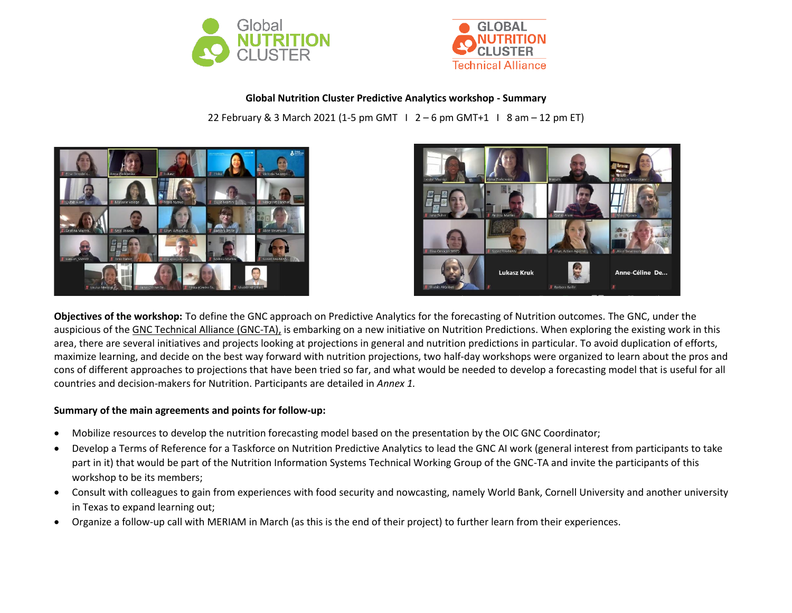



**Global Nutrition Cluster Predictive Analytics workshop - Summary**

22 February & 3 March 2021 (1-5 pm GMT I 2 – 6 pm GMT+1 I 8 am – 12 pm ET)





**Objectives of the workshop:** To define the GNC approach on Predictive Analytics for the forecasting of Nutrition outcomes. The GNC, under the auspicious of the GNC [Technical](https://ta.nutritioncluster.net/about) Alliance (GNC-TA), is embarking on a new initiative on Nutrition Predictions. When exploring the existing work in this area, there are several initiatives and projects looking at projections in general and nutrition predictions in particular. To avoid duplication of efforts, maximize learning, and decide on the best way forward with nutrition projections, two half-day workshops were organized to learn about the pros and cons of different approaches to projections that have been tried so far, and what would be needed to develop a forecasting model that is useful for all countries and decision-makers for Nutrition. Participants are detailed in *Annex 1.*

## **Summary of the main agreements and points for follow-up:**

- Mobilize resources to develop the nutrition forecasting model based on the presentation by the OIC GNC Coordinator;
- Develop a Terms of Reference for a Taskforce on Nutrition Predictive Analytics to lead the GNC AI work (general interest from participants to take part in it) that would be part of the Nutrition Information Systems Technical Working Group of the GNC-TA and invite the participants of this workshop to be its members;
- Consult with colleagues to gain from experiences with food security and nowcasting, namely World Bank, Cornell University and another university in Texas to expand learning out;
- Organize a follow-up call with MERIAM in March (as this is the end of their project) to further learn from their experiences.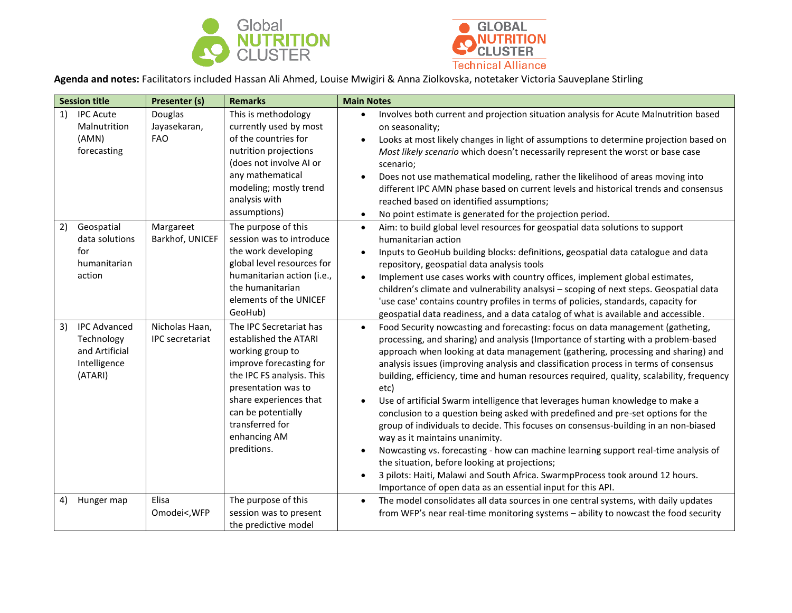



**Agenda and notes:** Facilitators included Hassan Ali Ahmed, Louise Mwigiri & Anna Ziolkovska, notetaker Victoria Sauveplane Stirling

|    | <b>Session title</b>                                                           | Presenter (s)                            | <b>Remarks</b>                                                                                                                                                                                                                                        | <b>Main Notes</b>                                                                                                                                                                                                                                                                                                                                                                                                                                                                                                                                                                                                                                                                                                                                                                                                                                                                                                                                                                                                                                                    |
|----|--------------------------------------------------------------------------------|------------------------------------------|-------------------------------------------------------------------------------------------------------------------------------------------------------------------------------------------------------------------------------------------------------|----------------------------------------------------------------------------------------------------------------------------------------------------------------------------------------------------------------------------------------------------------------------------------------------------------------------------------------------------------------------------------------------------------------------------------------------------------------------------------------------------------------------------------------------------------------------------------------------------------------------------------------------------------------------------------------------------------------------------------------------------------------------------------------------------------------------------------------------------------------------------------------------------------------------------------------------------------------------------------------------------------------------------------------------------------------------|
| 1) | <b>IPC Acute</b><br>Malnutrition<br>(AMN)<br>forecasting                       | Douglas<br>Jayasekaran,<br><b>FAO</b>    | This is methodology<br>currently used by most<br>of the countries for<br>nutrition projections<br>(does not involve AI or<br>any mathematical<br>modeling; mostly trend<br>analysis with<br>assumptions)                                              | Involves both current and projection situation analysis for Acute Malnutrition based<br>$\bullet$<br>on seasonality;<br>Looks at most likely changes in light of assumptions to determine projection based on<br>$\bullet$<br>Most likely scenario which doesn't necessarily represent the worst or base case<br>scenario;<br>Does not use mathematical modeling, rather the likelihood of areas moving into<br>different IPC AMN phase based on current levels and historical trends and consensus<br>reached based on identified assumptions;<br>No point estimate is generated for the projection period.<br>$\bullet$                                                                                                                                                                                                                                                                                                                                                                                                                                            |
| 2) | Geospatial<br>data solutions<br>for<br>humanitarian<br>action                  | Margareet<br>Barkhof, UNICEF             | The purpose of this<br>session was to introduce<br>the work developing<br>global level resources for<br>humanitarian action (i.e.,<br>the humanitarian<br>elements of the UNICEF<br>GeoHub)                                                           | Aim: to build global level resources for geospatial data solutions to support<br>$\bullet$<br>humanitarian action<br>Inputs to GeoHub building blocks: definitions, geospatial data catalogue and data<br>$\bullet$<br>repository, geospatial data analysis tools<br>Implement use cases works with country offices, implement global estimates,<br>$\bullet$<br>children's climate and vulnerability analsysi - scoping of next steps. Geospatial data<br>'use case' contains country profiles in terms of policies, standards, capacity for<br>geospatial data readiness, and a data catalog of what is available and accessible.                                                                                                                                                                                                                                                                                                                                                                                                                                  |
| 3) | <b>IPC Advanced</b><br>Technology<br>and Artificial<br>Intelligence<br>(ATARI) | Nicholas Haan,<br><b>IPC</b> secretariat | The IPC Secretariat has<br>established the ATARI<br>working group to<br>improve forecasting for<br>the IPC FS analysis. This<br>presentation was to<br>share experiences that<br>can be potentially<br>transferred for<br>enhancing AM<br>preditions. | Food Security nowcasting and forecasting: focus on data management (gatheting,<br>$\bullet$<br>processing, and sharing) and analysis (Importance of starting with a problem-based<br>approach when looking at data management (gathering, processing and sharing) and<br>analysis issues (improving analysis and classification process in terms of consensus<br>building, efficiency, time and human resources required, quality, scalability, frequency<br>etc)<br>Use of artificial Swarm intelligence that leverages human knowledge to make a<br>conclusion to a question being asked with predefined and pre-set options for the<br>group of individuals to decide. This focuses on consensus-building in an non-biased<br>way as it maintains unanimity.<br>Nowcasting vs. forecasting - how can machine learning support real-time analysis of<br>the situation, before looking at projections;<br>3 pilots: Haiti, Malawi and South Africa. SwarmpProcess took around 12 hours.<br>$\bullet$<br>Importance of open data as an essential input for this API. |
| 4) | Hunger map                                                                     | Elisa<br>Omodei<, WFP                    | The purpose of this<br>session was to present<br>the predictive model                                                                                                                                                                                 | The model consolidates all data sources in one central systems, with daily updates<br>$\bullet$<br>from WFP's near real-time monitoring systems - ability to nowcast the food security                                                                                                                                                                                                                                                                                                                                                                                                                                                                                                                                                                                                                                                                                                                                                                                                                                                                               |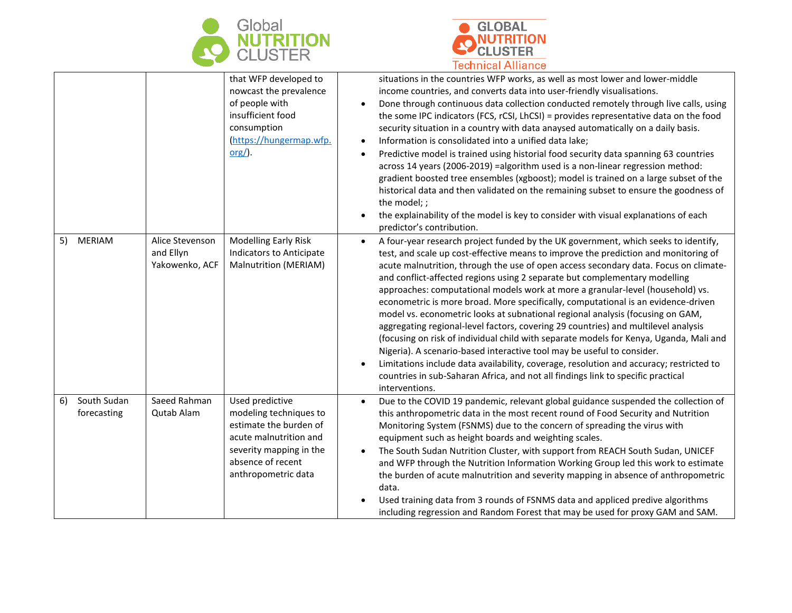



|                                  |                                                | that WFP developed to<br>nowcast the prevalence<br>of people with<br>insufficient food<br>consumption<br>(https://hungermap.wfp.<br>$org/$ ).                        | situations in the countries WFP works, as well as most lower and lower-middle<br>income countries, and converts data into user-friendly visualisations.<br>Done through continuous data collection conducted remotely through live calls, using<br>$\bullet$<br>the some IPC indicators (FCS, rCSI, LhCSI) = provides representative data on the food<br>security situation in a country with data anaysed automatically on a daily basis.<br>Information is consolidated into a unified data lake;<br>Predictive model is trained using historial food security data spanning 63 countries<br>$\bullet$<br>across 14 years (2006-2019) = algorithm used is a non-linear regression method:<br>gradient boosted tree ensembles (xgboost); model is trained on a large subset of the<br>historical data and then validated on the remaining subset to ensure the goodness of<br>the model; ;<br>the explainability of the model is key to consider with visual explanations of each<br>predictor's contribution.                                                                  |
|----------------------------------|------------------------------------------------|----------------------------------------------------------------------------------------------------------------------------------------------------------------------|----------------------------------------------------------------------------------------------------------------------------------------------------------------------------------------------------------------------------------------------------------------------------------------------------------------------------------------------------------------------------------------------------------------------------------------------------------------------------------------------------------------------------------------------------------------------------------------------------------------------------------------------------------------------------------------------------------------------------------------------------------------------------------------------------------------------------------------------------------------------------------------------------------------------------------------------------------------------------------------------------------------------------------------------------------------------------------|
| <b>MERIAM</b><br>5)              | Alice Stevenson<br>and Ellyn<br>Yakowenko, ACF | <b>Modelling Early Risk</b><br><b>Indicators to Anticipate</b><br>Malnutrition (MERIAM)                                                                              | A four-year research project funded by the UK government, which seeks to identify,<br>$\bullet$<br>test, and scale up cost-effective means to improve the prediction and monitoring of<br>acute malnutrition, through the use of open access secondary data. Focus on climate-<br>and conflict-affected regions using 2 separate but complementary modelling<br>approaches: computational models work at more a granular-level (household) vs.<br>econometric is more broad. More specifically, computational is an evidence-driven<br>model vs. econometric looks at subnational regional analysis (focusing on GAM,<br>aggregating regional-level factors, covering 29 countries) and multilevel analysis<br>(focusing on risk of individual child with separate models for Kenya, Uganda, Mali and<br>Nigeria). A scenario-based interactive tool may be useful to consider.<br>Limitations include data availability, coverage, resolution and accuracy; restricted to<br>countries in sub-Saharan Africa, and not all findings link to specific practical<br>interventions. |
| South Sudan<br>6)<br>forecasting | Saeed Rahman<br>Qutab Alam                     | Used predictive<br>modeling techniques to<br>estimate the burden of<br>acute malnutrition and<br>severity mapping in the<br>absence of recent<br>anthropometric data | Due to the COVID 19 pandemic, relevant global guidance suspended the collection of<br>$\bullet$<br>this anthropometric data in the most recent round of Food Security and Nutrition<br>Monitoring System (FSNMS) due to the concern of spreading the virus with<br>equipment such as height boards and weighting scales.<br>The South Sudan Nutrition Cluster, with support from REACH South Sudan, UNICEF<br>$\bullet$<br>and WFP through the Nutrition Information Working Group led this work to estimate<br>the burden of acute malnutrition and severity mapping in absence of anthropometric<br>data.<br>Used training data from 3 rounds of FSNMS data and appliced predive algorithms<br>including regression and Random Forest that may be used for proxy GAM and SAM.                                                                                                                                                                                                                                                                                                  |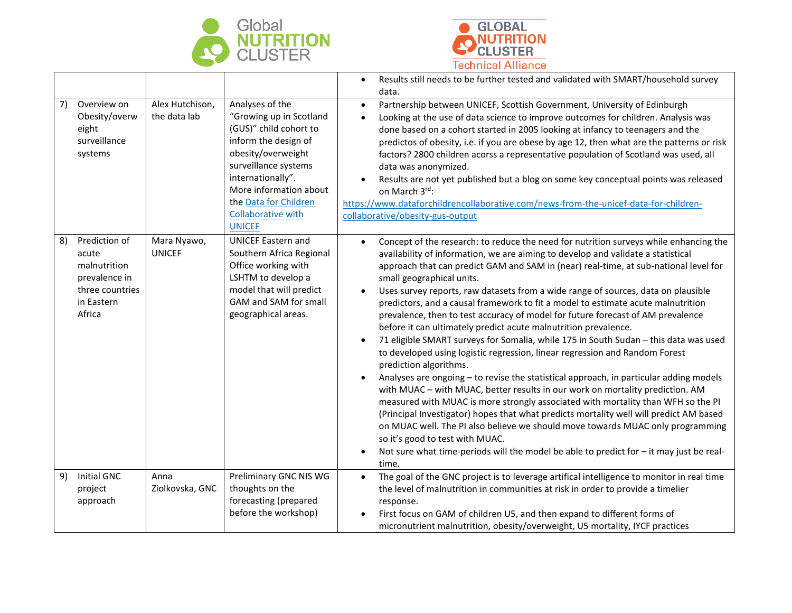



|    |                                                                                                    |                                 |                                                                                                                                                                                                                                                                  | Results still needs to be further tested and validated with SMART/household survey<br>$\bullet$<br>data.                                                                                                                                                                                                                                                                                                                                                                                                                                                                                                                                                                                                                                                                                                                                                                                                                                                                                                                                                                                                                                                                                                                                                                                                                                                                                                                                                  |
|----|----------------------------------------------------------------------------------------------------|---------------------------------|------------------------------------------------------------------------------------------------------------------------------------------------------------------------------------------------------------------------------------------------------------------|-----------------------------------------------------------------------------------------------------------------------------------------------------------------------------------------------------------------------------------------------------------------------------------------------------------------------------------------------------------------------------------------------------------------------------------------------------------------------------------------------------------------------------------------------------------------------------------------------------------------------------------------------------------------------------------------------------------------------------------------------------------------------------------------------------------------------------------------------------------------------------------------------------------------------------------------------------------------------------------------------------------------------------------------------------------------------------------------------------------------------------------------------------------------------------------------------------------------------------------------------------------------------------------------------------------------------------------------------------------------------------------------------------------------------------------------------------------|
| 7) | Overview on<br>Obesity/overw<br>eight<br>surveillance<br>systems                                   | Alex Hutchison,<br>the data lab | Analyses of the<br>"Growing up in Scotland<br>(GUS)" child cohort to<br>inform the design of<br>obesity/overweight<br>surveillance systems<br>internationally".<br>More information about<br>the Data for Children<br><b>Collaborative with</b><br><b>UNICEF</b> | Partnership between UNICEF, Scottish Government, University of Edinburgh<br>$\bullet$<br>Looking at the use of data science to improve outcomes for children. Analysis was<br>$\bullet$<br>done based on a cohort started in 2005 looking at infancy to teenagers and the<br>predictos of obesity, i.e. if you are obese by age 12, then what are the patterns or risk<br>factors? 2800 children acorss a representative population of Scotland was used, all<br>data was anonymized.<br>Results are not yet published but a blog on some key conceptual points was released<br>on March 3rd:<br>https://www.dataforchildrencollaborative.com/news-from-the-unicef-data-for-children-<br>collaborative/obesity-gus-output                                                                                                                                                                                                                                                                                                                                                                                                                                                                                                                                                                                                                                                                                                                                 |
| 8) | Prediction of<br>acute<br>malnutrition<br>prevalence in<br>three countries<br>in Eastern<br>Africa | Mara Nyawo,<br><b>UNICEF</b>    | <b>UNICEF Eastern and</b><br>Southern Africa Regional<br>Office working with<br>LSHTM to develop a<br>model that will predict<br>GAM and SAM for small<br>geographical areas.                                                                                    | Concept of the research: to reduce the need for nutrition surveys while enhancing the<br>$\bullet$<br>availability of information, we are aiming to develop and validate a statistical<br>approach that can predict GAM and SAM in (near) real-time, at sub-national level for<br>small geographical units.<br>Uses survey reports, raw datasets from a wide range of sources, data on plausible<br>predictors, and a causal framework to fit a model to estimate acute malnutrition<br>prevalence, then to test accuracy of model for future forecast of AM prevalence<br>before it can ultimately predict acute malnutrition prevalence.<br>71 eligible SMART surveys for Somalia, while 175 in South Sudan - this data was used<br>$\bullet$<br>to developed using logistic regression, linear regression and Random Forest<br>prediction algorithms.<br>Analyses are ongoing - to revise the statistical approach, in particular adding models<br>with MUAC - with MUAC, better results in our work on mortality prediction. AM<br>measured with MUAC is more strongly associated with mortality than WFH so the PI<br>(Principal Investigator) hopes that what predicts mortality well will predict AM based<br>on MUAC well. The PI also believe we should move towards MUAC only programming<br>so it's good to test with MUAC.<br>Not sure what time-periods will the model be able to predict for $-$ it may just be real-<br>$\bullet$<br>time. |
| 9) | Initial GNC<br>project<br>approach                                                                 | Anna<br>Ziolkovska, GNC         | Preliminary GNC NIS WG<br>thoughts on the<br>forecasting (prepared<br>before the workshop)                                                                                                                                                                       | The goal of the GNC project is to leverage artifical intelligence to monitor in real time<br>$\bullet$<br>the level of malnutrition in communities at risk in order to provide a timelier<br>response.<br>First focus on GAM of children U5, and then expand to different forms of<br>micronutrient malnutrition, obesity/overweight, U5 mortality, IYCF practices                                                                                                                                                                                                                                                                                                                                                                                                                                                                                                                                                                                                                                                                                                                                                                                                                                                                                                                                                                                                                                                                                        |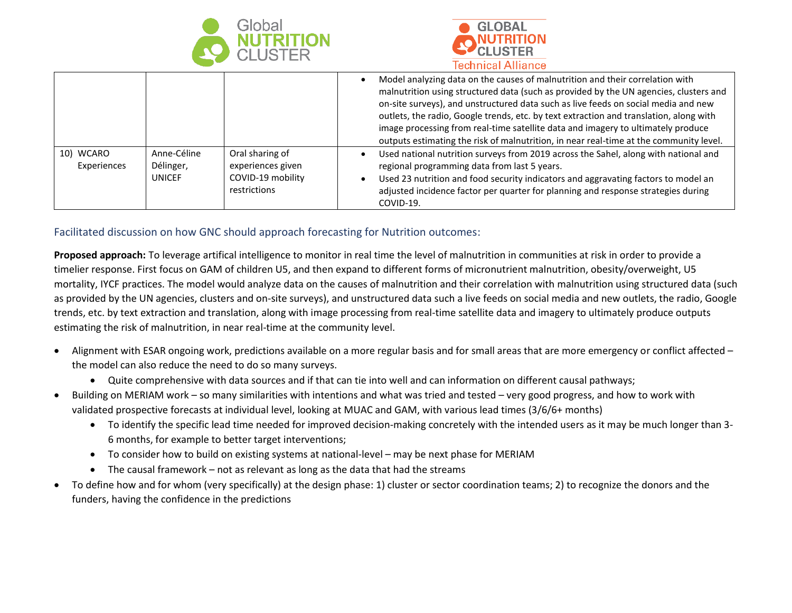



|                          |                                    |                                                                           | Model analyzing data on the causes of malnutrition and their correlation with<br>malnutrition using structured data (such as provided by the UN agencies, clusters and<br>on-site surveys), and unstructured data such as live feeds on social media and new<br>outlets, the radio, Google trends, etc. by text extraction and translation, along with<br>image processing from real-time satellite data and imagery to ultimately produce<br>outputs estimating the risk of malnutrition, in near real-time at the community level. |
|--------------------------|------------------------------------|---------------------------------------------------------------------------|--------------------------------------------------------------------------------------------------------------------------------------------------------------------------------------------------------------------------------------------------------------------------------------------------------------------------------------------------------------------------------------------------------------------------------------------------------------------------------------------------------------------------------------|
| 10) WCARO<br>Experiences | Anne-Céline<br>Délinger,<br>UNICEF | Oral sharing of<br>experiences given<br>COVID-19 mobility<br>restrictions | Used national nutrition surveys from 2019 across the Sahel, along with national and<br>regional programming data from last 5 years.<br>Used 23 nutrition and food security indicators and aggravating factors to model an<br>adjusted incidence factor per quarter for planning and response strategies during<br>COVID-19.                                                                                                                                                                                                          |

Facilitated discussion on how GNC should approach forecasting for Nutrition outcomes:

**Proposed approach:** To leverage artifical intelligence to monitor in real time the level of malnutrition in communities at risk in order to provide a timelier response. First focus on GAM of children U5, and then expand to different forms of micronutrient malnutrition, obesity/overweight, U5 mortality, IYCF practices. The model would analyze data on the causes of malnutrition and their correlation with malnutrition using structured data (such as provided by the UN agencies, clusters and on-site surveys), and unstructured data such a live feeds on social media and new outlets, the radio, Google trends, etc. by text extraction and translation, along with image processing from real-time satellite data and imagery to ultimately produce outputs estimating the risk of malnutrition, in near real-time at the community level.

- Alignment with ESAR ongoing work, predictions available on a more regular basis and for small areas that are more emergency or conflict affected the model can also reduce the need to do so many surveys.
	- Quite comprehensive with data sources and if that can tie into well and can information on different causal pathways;
- Building on MERIAM work so many similarities with intentions and what was tried and tested very good progress, and how to work with validated prospective forecasts at individual level, looking at MUAC and GAM, with various lead times (3/6/6+ months)
	- To identify the specific lead time needed for improved decision-making concretely with the intended users as it may be much longer than 3- 6 months, for example to better target interventions;
	- To consider how to build on existing systems at national-level may be next phase for MERIAM
	- The causal framework not as relevant as long as the data that had the streams
- To define how and for whom (very specifically) at the design phase: 1) cluster or sector coordination teams; 2) to recognize the donors and the funders, having the confidence in the predictions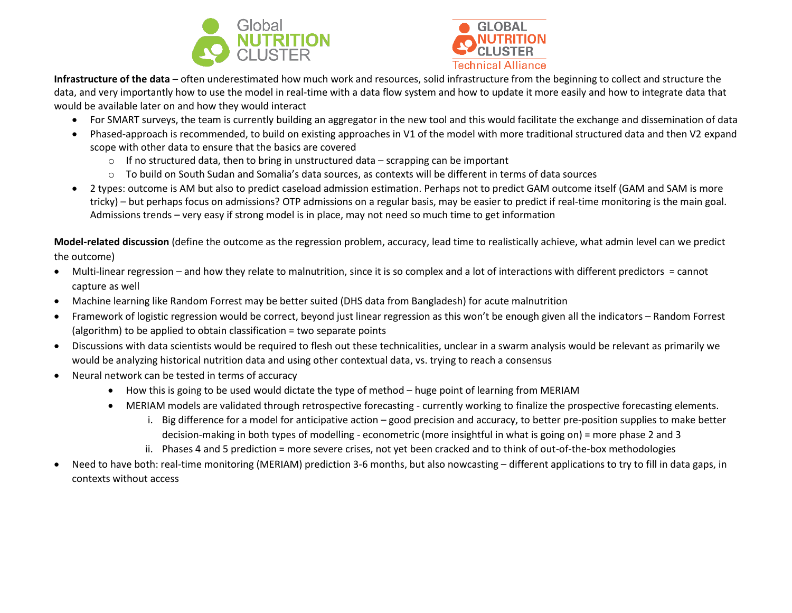



**Infrastructure of the data** – often underestimated how much work and resources, solid infrastructure from the beginning to collect and structure the data, and very importantly how to use the model in real-time with a data flow system and how to update it more easily and how to integrate data that would be available later on and how they would interact

- For SMART surveys, the team is currently building an aggregator in the new tool and this would facilitate the exchange and dissemination of data
- Phased-approach is recommended, to build on existing approaches in V1 of the model with more traditional structured data and then V2 expand scope with other data to ensure that the basics are covered
	- o If no structured data, then to bring in unstructured data scrapping can be important
	- $\circ$  To build on South Sudan and Somalia's data sources, as contexts will be different in terms of data sources
- 2 types: outcome is AM but also to predict caseload admission estimation. Perhaps not to predict GAM outcome itself (GAM and SAM is more tricky) – but perhaps focus on admissions? OTP admissions on a regular basis, may be easier to predict if real-time monitoring is the main goal. Admissions trends – very easy if strong model is in place, may not need so much time to get information

**Model-related discussion** (define the outcome as the regression problem, accuracy, lead time to realistically achieve, what admin level can we predict the outcome)

- Multi-linear regression and how they relate to malnutrition, since it is so complex and a lot of interactions with different predictors = cannot capture as well
- Machine learning like Random Forrest may be better suited (DHS data from Bangladesh) for acute malnutrition
- Framework of logistic regression would be correct, beyond just linear regression as this won't be enough given all the indicators Random Forrest (algorithm) to be applied to obtain classification = two separate points
- Discussions with data scientists would be required to flesh out these technicalities, unclear in a swarm analysis would be relevant as primarily we would be analyzing historical nutrition data and using other contextual data, vs. trying to reach a consensus
- Neural network can be tested in terms of accuracy
	- How this is going to be used would dictate the type of method huge point of learning from MERIAM
	- MERIAM models are validated through retrospective forecasting currently working to finalize the prospective forecasting elements.
		- i. Big difference for a model for anticipative action good precision and accuracy, to better pre-position supplies to make better decision-making in both types of modelling - econometric (more insightful in what is going on) = more phase 2 and 3
		- ii. Phases 4 and 5 prediction = more severe crises, not yet been cracked and to think of out-of-the-box methodologies
- Need to have both: real-time monitoring (MERIAM) prediction 3-6 months, but also nowcasting different applications to try to fill in data gaps, in contexts without access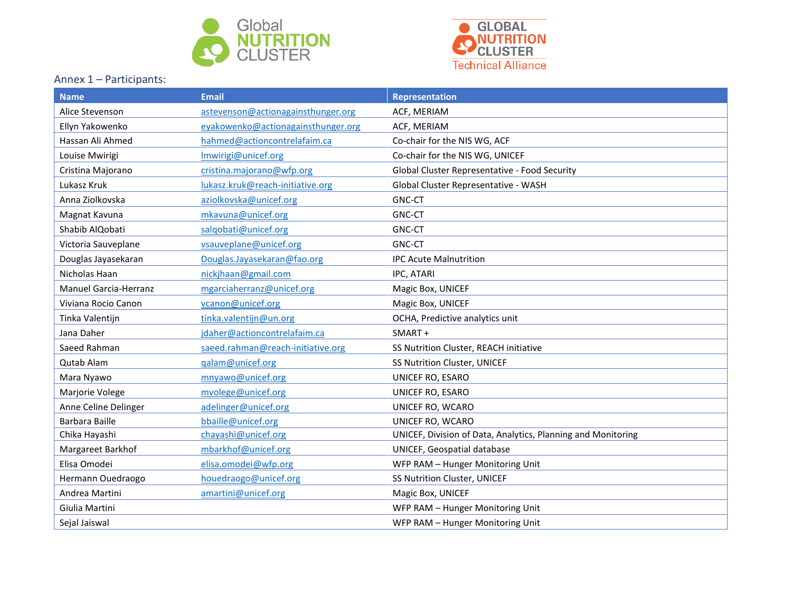



## Annex 1 – Participants:

| <b>Name</b>                  | <b>Email</b>                       | Representation                                               |
|------------------------------|------------------------------------|--------------------------------------------------------------|
| Alice Stevenson              | astevenson@actionagainsthunger.org | ACF, MERIAM                                                  |
| Ellyn Yakowenko              | eyakowenko@actionagainsthunger.org | ACF, MERIAM                                                  |
| Hassan Ali Ahmed             | hahmed@actioncontrelafaim.ca       | Co-chair for the NIS WG, ACF                                 |
| Louise Mwirigi               | Imwirigi@unicef.org                | Co-chair for the NIS WG, UNICEF                              |
| Cristina Majorano            | cristina.majorano@wfp.org          | Global Cluster Representative - Food Security                |
| Lukasz Kruk                  | lukasz.kruk@reach-initiative.org   | Global Cluster Representative - WASH                         |
| Anna Ziolkovska              | aziolkovska@unicef.org             | <b>GNC-CT</b>                                                |
| Magnat Kavuna                | mkavuna@unicef.org                 | <b>GNC-CT</b>                                                |
| Shabib AlQobati              | salgobati@unicef.org               | <b>GNC-CT</b>                                                |
| Victoria Sauveplane          | vsauveplane@unicef.org             | <b>GNC-CT</b>                                                |
| Douglas Jayasekaran          | Douglas.Jayasekaran@fao.org        | <b>IPC Acute Malnutrition</b>                                |
| Nicholas Haan                | nickjhaan@gmail.com                | IPC, ATARI                                                   |
| <b>Manuel Garcia-Herranz</b> | mgarciaherranz@unicef.org          | Magic Box, UNICEF                                            |
| Viviana Rocio Canon          | vcanon@unicef.org                  | Magic Box, UNICEF                                            |
| Tinka Valentijn              | tinka.valentijn@un.org             | OCHA, Predictive analytics unit                              |
| Jana Daher                   | jdaher@actioncontrelafaim.ca       | SMART+                                                       |
| Saeed Rahman                 | saeed.rahman@reach-initiative.org  | SS Nutrition Cluster, REACH initiative                       |
| <b>Qutab Alam</b>            | galam@unicef.org                   | SS Nutrition Cluster, UNICEF                                 |
| Mara Nyawo                   | mnyawo@unicef.org                  | UNICEF RO, ESARO                                             |
| Marjorie Volege              | mvolege@unicef.org                 | UNICEF RO, ESARO                                             |
| Anne Celine Delinger         | adelinger@unicef.org               | UNICEF RO, WCARO                                             |
| Barbara Baille               | bbaille@unicef.org                 | UNICEF RO, WCARO                                             |
| Chika Hayashi                | chayashi@unicef.org                | UNICEF, Division of Data, Analytics, Planning and Monitoring |
| Margareet Barkhof            | mbarkhof@unicef.org                | UNICEF, Geospatial database                                  |
| Elisa Omodei                 | elisa.omodei@wfp.org               | WFP RAM - Hunger Monitoring Unit                             |
| Hermann Ouedraogo            | houedraogo@unicef.org              | SS Nutrition Cluster, UNICEF                                 |
| Andrea Martini               | amartini@unicef.org                | Magic Box, UNICEF                                            |
| Giulia Martini               |                                    | WFP RAM - Hunger Monitoring Unit                             |
| Sejal Jaiswal                |                                    | WFP RAM - Hunger Monitoring Unit                             |